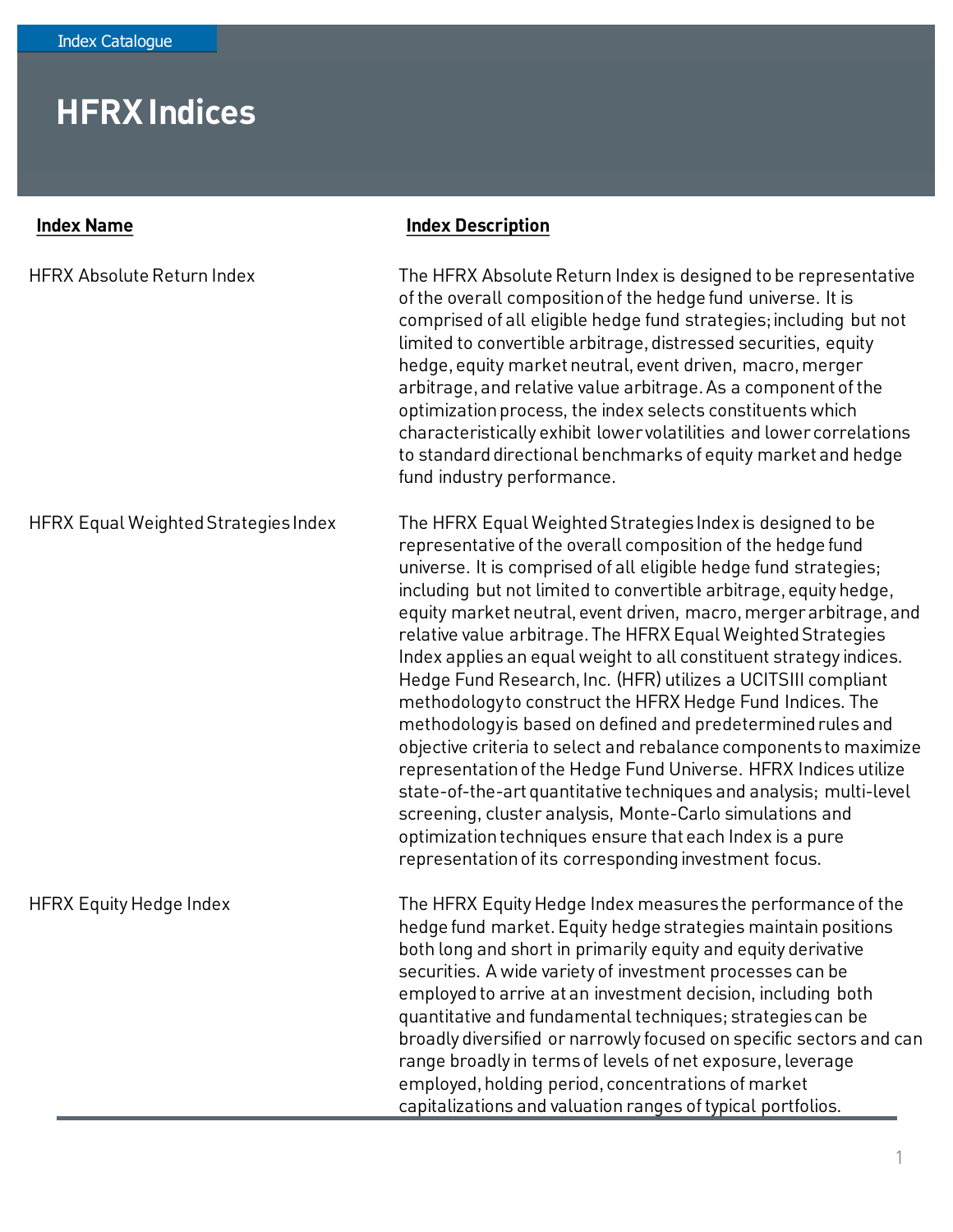## **HFRX Indices**

| <b>Index Name</b>                    | <b>Index Description</b>                                                                                                                                                                                                                                                                                                                                                                                                                                                                                                                                                                                                                                                                                                                                                                                                                                                                                                                                                                                                                                                  |
|--------------------------------------|---------------------------------------------------------------------------------------------------------------------------------------------------------------------------------------------------------------------------------------------------------------------------------------------------------------------------------------------------------------------------------------------------------------------------------------------------------------------------------------------------------------------------------------------------------------------------------------------------------------------------------------------------------------------------------------------------------------------------------------------------------------------------------------------------------------------------------------------------------------------------------------------------------------------------------------------------------------------------------------------------------------------------------------------------------------------------|
| <b>HFRX Absolute Return Index</b>    | The HFRX Absolute Return Index is designed to be representative<br>of the overall composition of the hedge fund universe. It is<br>comprised of all eligible hedge fund strategies; including but not<br>limited to convertible arbitrage, distressed securities, equity<br>hedge, equity market neutral, event driven, macro, merger<br>arbitrage, and relative value arbitrage. As a component of the<br>optimization process, the index selects constituents which<br>characteristically exhibit lower volatilities and lower correlations<br>to standard directional benchmarks of equity market and hedge<br>fund industry performance.                                                                                                                                                                                                                                                                                                                                                                                                                              |
| HFRX Equal Weighted Strategies Index | The HFRX Equal Weighted Strategies Index is designed to be<br>representative of the overall composition of the hedge fund<br>universe. It is comprised of all eligible hedge fund strategies;<br>including but not limited to convertible arbitrage, equity hedge,<br>equity market neutral, event driven, macro, merger arbitrage, and<br>relative value arbitrage. The HFRX Equal Weighted Strategies<br>Index applies an equal weight to all constituent strategy indices.<br>Hedge Fund Research, Inc. (HFR) utilizes a UCITSIII compliant<br>methodology to construct the HFRX Hedge Fund Indices. The<br>methodology is based on defined and predetermined rules and<br>objective criteria to select and rebalance components to maximize<br>representation of the Hedge Fund Universe. HFRX Indices utilize<br>state-of-the-art quantitative techniques and analysis; multi-level<br>screening, cluster analysis, Monte-Carlo simulations and<br>optimization techniques ensure that each Index is a pure<br>representation of its corresponding investment focus. |
| <b>HFRX Equity Hedge Index</b>       | The HFRX Equity Hedge Index measures the performance of the<br>hedge fund market. Equity hedge strategies maintain positions<br>both long and short in primarily equity and equity derivative<br>securities. A wide variety of investment processes can be<br>employed to arrive at an investment decision, including both<br>quantitative and fundamental techniques; strategies can be<br>broadly diversified or narrowly focused on specific sectors and can<br>range broadly in terms of levels of net exposure, leverage<br>employed, holding period, concentrations of market<br>capitalizations and valuation ranges of typical portfolios.                                                                                                                                                                                                                                                                                                                                                                                                                        |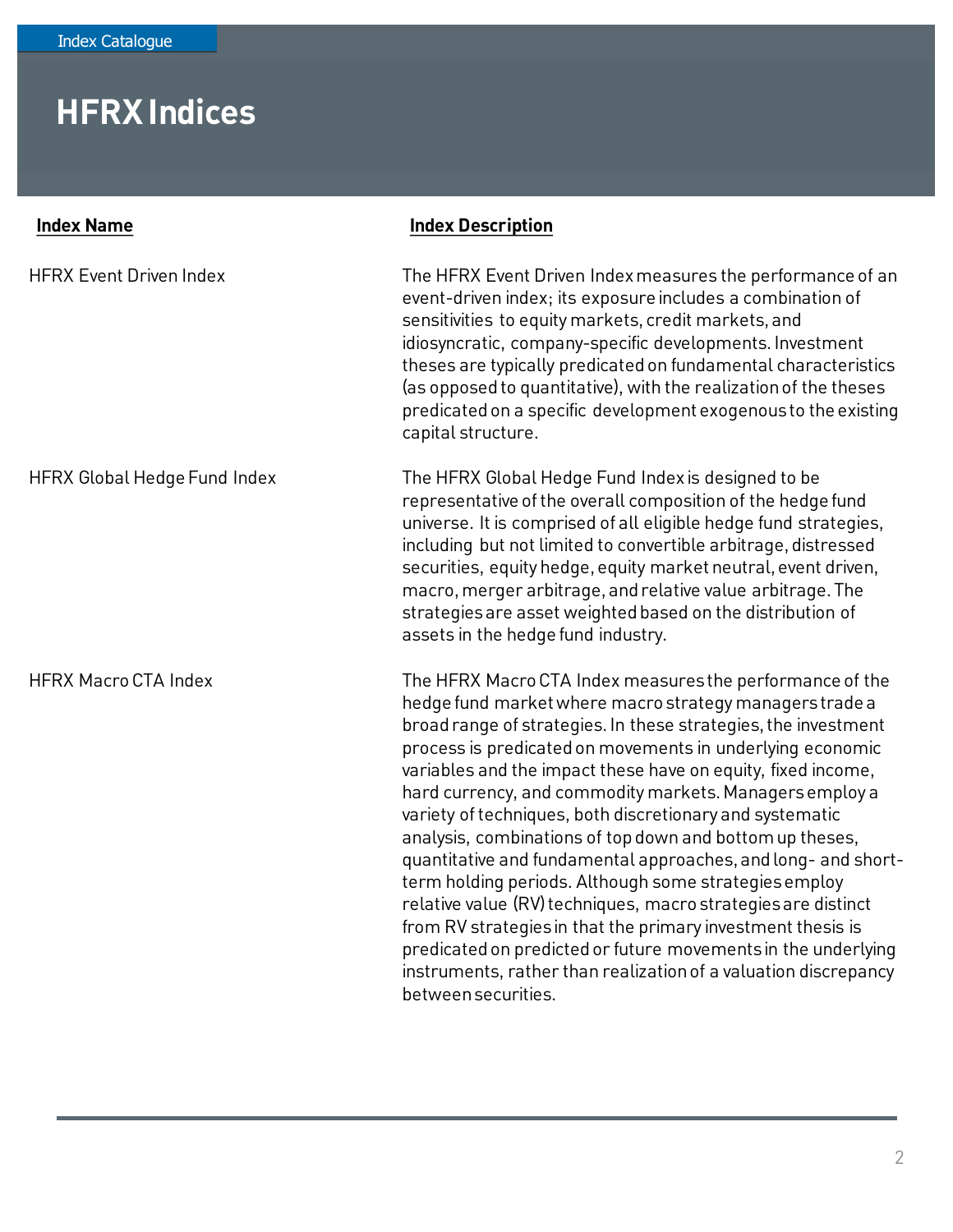## **HFRX Indices**

| <b>Index Name</b>                   | <b>Index Description</b>                                                                                                                                                                                                                                                                                                                                                                                                                                                                                                                                                                                                                                                                                                                                                                                                                                                                                                   |
|-------------------------------------|----------------------------------------------------------------------------------------------------------------------------------------------------------------------------------------------------------------------------------------------------------------------------------------------------------------------------------------------------------------------------------------------------------------------------------------------------------------------------------------------------------------------------------------------------------------------------------------------------------------------------------------------------------------------------------------------------------------------------------------------------------------------------------------------------------------------------------------------------------------------------------------------------------------------------|
| <b>HFRX Event Driven Index</b>      | The HFRX Event Driven Index measures the performance of an<br>event-driven index; its exposure includes a combination of<br>sensitivities to equity markets, credit markets, and<br>idiosyncratic, company-specific developments. Investment<br>theses are typically predicated on fundamental characteristics<br>(as opposed to quantitative), with the realization of the theses<br>predicated on a specific development exogenous to the existing<br>capital structure.                                                                                                                                                                                                                                                                                                                                                                                                                                                 |
| <b>HFRX Global Hedge Fund Index</b> | The HFRX Global Hedge Fund Index is designed to be<br>representative of the overall composition of the hedge fund<br>universe. It is comprised of all eligible hedge fund strategies,<br>including but not limited to convertible arbitrage, distressed<br>securities, equity hedge, equity market neutral, event driven,<br>macro, merger arbitrage, and relative value arbitrage. The<br>strategies are asset weighted based on the distribution of<br>assets in the hedge fund industry.                                                                                                                                                                                                                                                                                                                                                                                                                                |
| <b>HFRX Macro CTA Index</b>         | The HFRX Macro CTA Index measures the performance of the<br>hedge fund market where macro strategy managers trade a<br>broad range of strategies. In these strategies, the investment<br>process is predicated on movements in underlying economic<br>variables and the impact these have on equity, fixed income,<br>hard currency, and commodity markets. Managers employ a<br>variety of techniques, both discretionary and systematic<br>analysis, combinations of top down and bottom up theses,<br>quantitative and fundamental approaches, and long- and short-<br>term holding periods. Although some strategies employ<br>relative value (RV) techniques, macro strategies are distinct<br>from RV strategies in that the primary investment thesis is<br>predicated on predicted or future movements in the underlying<br>instruments, rather than realization of a valuation discrepancy<br>between securities. |